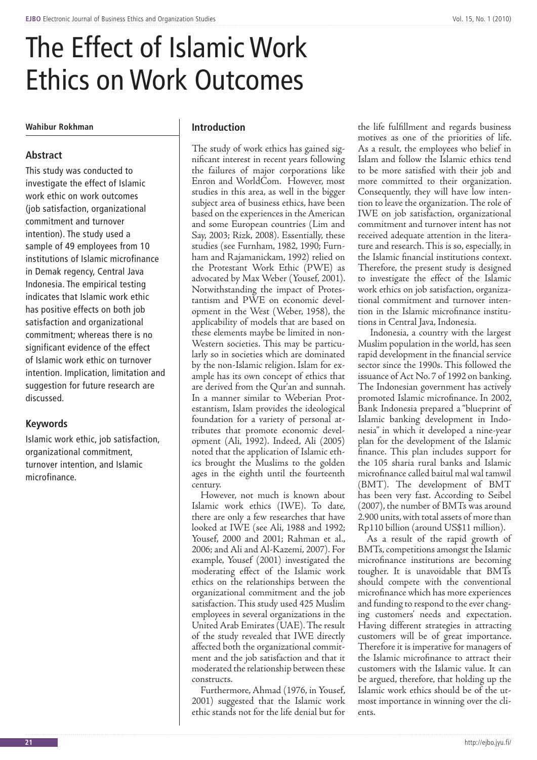# The Effect of Islamic Work Ethics on Work Outcomes

## **Wahibur Rokhman**

## **Abstract**

This study was conducted to investigate the effect of Islamic work ethic on work outcomes (job satisfaction, organizational commitment and turnover intention). The study used a sample of 49 employees from 10 institutions of Islamic microfinance in Demak regency, Central Java Indonesia. The empirical testing indicates that Islamic work ethic has positive effects on both job satisfaction and organizational commitment; whereas there is no significant evidence of the effect of Islamic work ethic on turnover intention. Implication, limitation and suggestion for future research are discussed.

#### **Keywords**

Islamic work ethic, job satisfaction, organizational commitment, turnover intention, and Islamic microfinance.

#### **Introduction**

The study of work ethics has gained significant interest in recent years following the failures of major corporations like Enron and WorldCom. However, most studies in this area, as well in the bigger subject area of business ethics, have been based on the experiences in the American and some European countries (Lim and Say, 2003; Rizk, 2008). Essentially, these studies (see Furnham, 1982, 1990; Furnham and Rajamanickam, 1992) relied on the Protestant Work Ethic (PWE) as advocated by Max Weber (Yousef, 2001). Notwithstanding the impact of Protestantism and PWE on economic development in the West (Weber, 1958), the applicability of models that are based on these elements maybe be limited in non-Western societies. This may be particularly so in societies which are dominated by the non-Islamic religion. Islam for example has its own concept of ethics that are derived from the Qur'an and sunnah. In a manner similar to Weberian Protestantism, Islam provides the ideological foundation for a variety of personal attributes that promote economic development (Ali, 1992). Indeed, Ali (2005) noted that the application of Islamic ethics brought the Muslims to the golden ages in the eighth until the fourteenth century.

However, not much is known about Islamic work ethics (IWE). To date, there are only a few researches that have looked at IWE (see Ali, 1988 and 1992; Yousef, 2000 and 2001; Rahman et al., 2006; and Ali and Al-Kazemi, 2007). For example, Yousef (2001) investigated the moderating effect of the Islamic work ethics on the relationships between the organizational commitment and the job satisfaction. This study used 425 Muslim employees in several organizations in the United Arab Emirates (UAE). The result of the study revealed that IWE directly affected both the organizational commitment and the job satisfaction and that it moderated the relationship between these constructs.

Furthermore, Ahmad (1976, in Yousef, 2001) suggested that the Islamic work ethic stands not for the life denial but for

the life fulfillment and regards business motives as one of the priorities of life. As a result, the employees who belief in Islam and follow the Islamic ethics tend to be more satisfied with their job and more committed to their organization. Consequently, they will have low intention to leave the organization. The role of IWE on job satisfaction, organizational commitment and turnover intent has not received adequate attention in the literature and research. This is so, especially, in the Islamic financial institutions context. Therefore, the present study is designed to investigate the effect of the Islamic work ethics on job satisfaction, organizational commitment and turnover intention in the Islamic microfinance institutions in Central Java, Indonesia.

 Indonesia, a country with the largest Muslim population in the world, has seen rapid development in the financial service sector since the 1990s. This followed the issuance of Act No. 7 of 1992 on banking. The Indonesian government has actively promoted Islamic microfinance. In 2002, Bank Indonesia prepared a "blueprint of Islamic banking development in Indonesia" in which it developed a nine-year plan for the development of the Islamic finance. This plan includes support for the 105 sharia rural banks and Islamic microfinance called baitul mal wal tamwil (BMT). The development of BMT has been very fast. According to Seibel (2007), the number of BMTs was around 2.900 units, with total assets of more than Rp110 billion (around US\$11 million).

As a result of the rapid growth of BMTs, competitions amongst the Islamic microfinance institutions are becoming tougher. It is unavoidable that BMTs should compete with the conventional microfinance which has more experiences and funding to respond to the ever changing customers' needs and expectation. Having different strategies in attracting customers will be of great importance. Therefore it is imperative for managers of the Islamic microfinance to attract their customers with the Islamic value. It can be argued, therefore, that holding up the Islamic work ethics should be of the utmost importance in winning over the clients.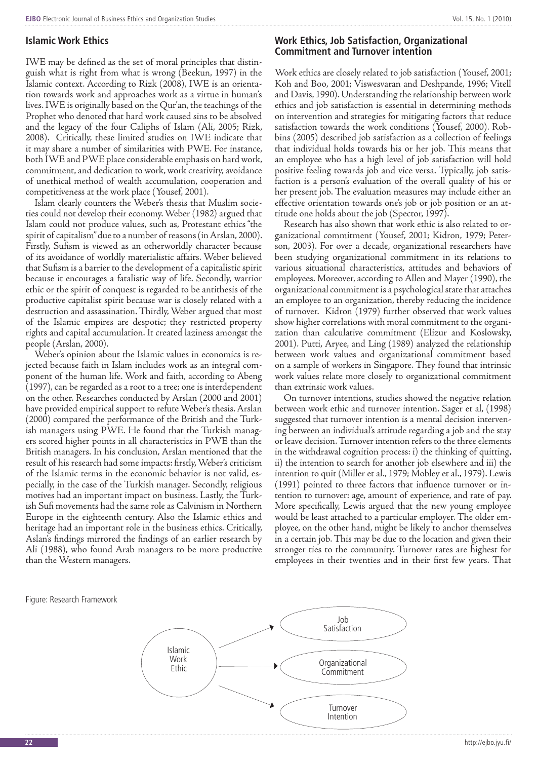#### **Islamic Work Ethics**

IWE may be defined as the set of moral principles that distinguish what is right from what is wrong (Beekun, 1997) in the Islamic context. According to Rizk (2008), IWE is an orientation towards work and approaches work as a virtue in human's lives. IWE is originally based on the Qur'an, the teachings of the Prophet who denoted that hard work caused sins to be absolved and the legacy of the four Caliphs of Islam (Ali, 2005; Rizk, 2008). Critically, these limited studies on IWE indicate that it may share a number of similarities with PWE. For instance, both IWE and PWE place considerable emphasis on hard work, commitment, and dedication to work, work creativity, avoidance of unethical method of wealth accumulation, cooperation and competitiveness at the work place (Yousef, 2001).

Islam clearly counters the Weber's thesis that Muslim societies could not develop their economy. Weber (1982) argued that Islam could not produce values, such as, Protestant ethics "the spirit of capitalism" due to a number of reasons (in Arslan, 2000). Firstly, Sufism is viewed as an otherworldly character because of its avoidance of worldly materialistic affairs. Weber believed that Sufism is a barrier to the development of a capitalistic spirit because it encourages a fatalistic way of life. Secondly, warrior ethic or the spirit of conquest is regarded to be antithesis of the productive capitalist spirit because war is closely related with a destruction and assassination. Thirdly, Weber argued that most of the Islamic empires are despotic; they restricted property rights and capital accumulation. It created laziness amongst the people (Arslan, 2000).

Weber's opinion about the Islamic values in economics is rejected because faith in Islam includes work as an integral component of the human life. Work and faith, according to Abeng (1997), can be regarded as a root to a tree; one is interdependent on the other. Researches conducted by Arslan (2000 and 2001) have provided empirical support to refute Weber's thesis. Arslan (2000) compared the performance of the British and the Turkish managers using PWE. He found that the Turkish managers scored higher points in all characteristics in PWE than the British managers. In his conclusion, Arslan mentioned that the result of his research had some impacts: firstly, Weber's criticism of the Islamic terms in the economic behavior is not valid, especially, in the case of the Turkish manager. Secondly, religious motives had an important impact on business. Lastly, the Turkish Sufi movements had the same role as Calvinism in Northern Europe in the eighteenth century. Also the Islamic ethics and heritage had an important role in the business ethics. Critically, Aslan's findings mirrored the findings of an earlier research by Ali (1988), who found Arab managers to be more productive than the Western managers.

#### **Work Ethics, Job Satisfaction, Organizational Commitment and Turnover intention**

Work ethics are closely related to job satisfaction (Yousef, 2001; Koh and Boo, 2001; Viswesvaran and Deshpande, 1996; Vitell and Davis, 1990). Understanding the relationship between work ethics and job satisfaction is essential in determining methods on intervention and strategies for mitigating factors that reduce satisfaction towards the work conditions (Yousef, 2000). Robbins (2005) described job satisfaction as a collection of feelings that individual holds towards his or her job. This means that an employee who has a high level of job satisfaction will hold positive feeling towards job and vice versa. Typically, job satisfaction is a person's evaluation of the overall quality of his or her present job. The evaluation measures may include either an effective orientation towards one's job or job position or an attitude one holds about the job (Spector, 1997).

Research has also shown that work ethic is also related to organizational commitment (Yousef, 2001; Kidron, 1979; Peterson, 2003). For over a decade, organizational researchers have been studying organizational commitment in its relations to various situational characteristics, attitudes and behaviors of employees. Moreover, according to Allen and Mayer (1990), the organizational commitment is a psychological state that attaches an employee to an organization, thereby reducing the incidence of turnover. Kidron (1979) further observed that work values show higher correlations with moral commitment to the organization than calculative commitment (Elizur and Koslowsky, 2001). Putti, Aryee, and Ling (1989) analyzed the relationship between work values and organizational commitment based on a sample of workers in Singapore. They found that intrinsic work values relate more closely to organizational commitment than extrinsic work values.

On turnover intentions, studies showed the negative relation between work ethic and turnover intention. Sager et al, (1998) suggested that turnover intention is a mental decision intervening between an individual's attitude regarding a job and the stay or leave decision. Turnover intention refers to the three elements in the withdrawal cognition process: i) the thinking of quitting, ii) the intention to search for another job elsewhere and iii) the intention to quit (Miller et al., 1979; Mobley et al., 1979). Lewis (1991) pointed to three factors that influence turnover or intention to turnover: age, amount of experience, and rate of pay. More specifically, Lewis argued that the new young employee would be least attached to a particular employer. The older employee, on the other hand, might be likely to anchor themselves in a certain job. This may be due to the location and given their stronger ties to the community. Turnover rates are highest for employees in their twenties and in their first few years. That

Figure: Research Framework

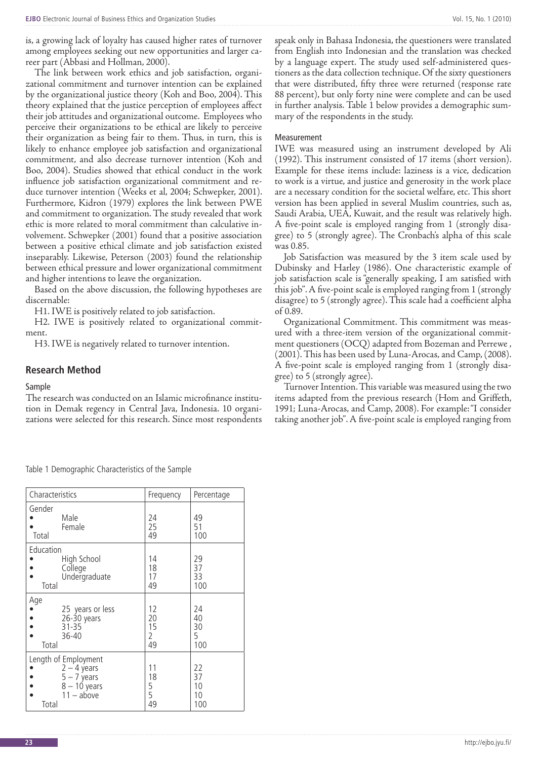is, a growing lack of loyalty has caused higher rates of turnover among employees seeking out new opportunities and larger career part (Abbasi and Hollman, 2000).

The link between work ethics and job satisfaction, organizational commitment and turnover intention can be explained by the organizational justice theory (Koh and Boo, 2004). This theory explained that the justice perception of employees affect their job attitudes and organizational outcome. Employees who perceive their organizations to be ethical are likely to perceive their organization as being fair to them. Thus, in turn, this is likely to enhance employee job satisfaction and organizational commitment, and also decrease turnover intention (Koh and Boo, 2004). Studies showed that ethical conduct in the work influence job satisfaction organizational commitment and reduce turnover intention (Weeks et al, 2004; Schwepker, 2001). Furthermore, Kidron (1979) explores the link between PWE and commitment to organization. The study revealed that work ethic is more related to moral commitment than calculative involvement. Schwepker (2001) found that a positive association between a positive ethical climate and job satisfaction existed inseparably. Likewise, Peterson (2003) found the relationship between ethical pressure and lower organizational commitment and higher intentions to leave the organization.

Based on the above discussion, the following hypotheses are discernable:

H1. IWE is positively related to job satisfaction.

H2. IWE is positively related to organizational commitment.

H3. IWE is negatively related to turnover intention.

#### **Research Method**

#### Sample

The research was conducted on an Islamic microfinance institution in Demak regency in Central Java, Indonesia. 10 organizations were selected for this research. Since most respondents speak only in Bahasa Indonesia, the questioners were translated from English into Indonesian and the translation was checked by a language expert. The study used self-administered questioners as the data collection technique. Of the sixty questioners that were distributed, fifty three were returned (response rate 88 percent), but only forty nine were complete and can be used in further analysis. Table 1 below provides a demographic summary of the respondents in the study.

#### Measurement

IWE was measured using an instrument developed by Ali (1992). This instrument consisted of 17 items (short version). Example for these items include: laziness is a vice, dedication to work is a virtue, and justice and generosity in the work place are a necessary condition for the societal welfare, etc. This short version has been applied in several Muslim countries, such as, Saudi Arabia, UEA, Kuwait, and the result was relatively high. A five-point scale is employed ranging from 1 (strongly disagree) to 5 (strongly agree). The Cronbach's alpha of this scale was 0.85.

Job Satisfaction was measured by the 3 item scale used by Dubinsky and Harley (1986). One characteristic example of job satisfaction scale is "generally speaking, I am satisfied with this job". A five-point scale is employed ranging from 1 (strongly disagree) to 5 (strongly agree). This scale had a coefficient alpha of 0.89.

Organizational Commitment. This commitment was measured with a three-item version of the organizational commitment questioners (OCQ) adapted from Bozeman and Perrewe , (2001). This has been used by Luna-Arocas, and Camp, (2008). A five-point scale is employed ranging from 1 (strongly disagree) to 5 (strongly agree).

Turnover Intention. This variable was measured using the two items adapted from the previous research (Hom and Griffeth, 1991; Luna-Arocas, and Camp, 2008). For example: "I consider taking another job". A five-point scale is employed ranging from

| Characteristics                                                                                   | Frequency                 | Percentage                  |  |
|---------------------------------------------------------------------------------------------------|---------------------------|-----------------------------|--|
| Gender<br>Male<br>Female<br>Total                                                                 | 24<br>25<br>49            | 49<br>51<br>100             |  |
| Education<br>High School<br>College<br>Undergraduate<br>Total                                     | 14<br>18<br>17<br>49      | 29<br>37<br>33<br>100       |  |
| Age<br>25 years or less<br>26-30 years<br>$31 - 35$<br>36-40<br>Total                             | 12<br>20<br>15<br>2<br>49 | 24<br>40<br>30<br>5<br>100  |  |
| Length of Employment<br>$2 - 4$ years<br>$5 - 7$ years<br>$8 - 10$ years<br>$11 - above$<br>Total | 11<br>18<br>5<br>5<br>49  | 22<br>37<br>10<br>10<br>100 |  |

Table 1 Demographic Characteristics of the Sample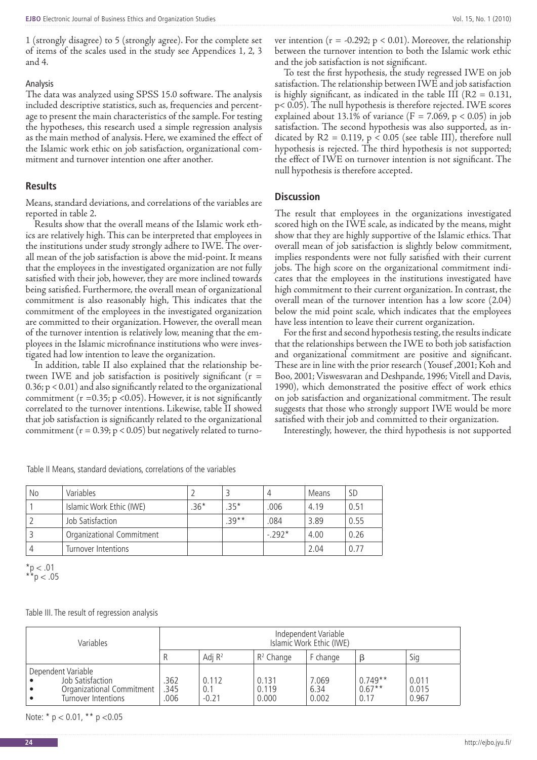1 (strongly disagree) to 5 (strongly agree). For the complete set of items of the scales used in the study see Appendices 1, 2, 3 and 4.

#### Analysis

The data was analyzed using SPSS 15.0 software. The analysis included descriptive statistics, such as, frequencies and percentage to present the main characteristics of the sample. For testing the hypotheses, this research used a simple regression analysis as the main method of analysis. Here, we examined the effect of the Islamic work ethic on job satisfaction, organizational commitment and turnover intention one after another.

#### **Results**

Means, standard deviations, and correlations of the variables are reported in table 2.

Results show that the overall means of the Islamic work ethics are relatively high. This can be interpreted that employees in the institutions under study strongly adhere to IWE. The overall mean of the job satisfaction is above the mid-point. It means that the employees in the investigated organization are not fully satisfied with their job, however, they are more inclined towards being satisfied. Furthermore, the overall mean of organizational commitment is also reasonably high, This indicates that the commitment of the employees in the investigated organization are committed to their organization. However, the overall mean of the turnover intention is relatively low, meaning that the employees in the Islamic microfinance institutions who were investigated had low intention to leave the organization.

In addition, table II also explained that the relationship between IWE and job satisfaction is positively significant ( $r =$ 0.36; p < 0.01) and also significantly related to the organizational commitment ( $r = 0.35$ ;  $p < 0.05$ ). However, it is not significantly correlated to the turnover intentions. Likewise, table II showed that job satisfaction is significantly related to the organizational commitment ( $r = 0.39$ ;  $p < 0.05$ ) but negatively related to turnover intention ( $r = -0.292$ ;  $p < 0.01$ ). Moreover, the relationship between the turnover intention to both the Islamic work ethic and the job satisfaction is not significant.

To test the first hypothesis, the study regressed IWE on job satisfaction. The relationship between IWE and job satisfaction is highly significant, as indicated in the table III  $(R2 = 0.131,$ p< 0.05). The null hypothesis is therefore rejected. IWE scores explained about 13.1% of variance ( $F = 7.069$ ,  $p < 0.05$ ) in job satisfaction. The second hypothesis was also supported, as indicated by  $R2 = 0.119$ ,  $p < 0.05$  (see table III), therefore null hypothesis is rejected. The third hypothesis is not supported; the effect of IWE on turnover intention is not significant. The null hypothesis is therefore accepted.

#### **Discussion**

The result that employees in the organizations investigated scored high on the IWE scale, as indicated by the means, might show that they are highly supportive of the Islamic ethics. That overall mean of job satisfaction is slightly below commitment, implies respondents were not fully satisfied with their current jobs. The high score on the organizational commitment indicates that the employees in the institutions investigated have high commitment to their current organization. In contrast, the overall mean of the turnover intention has a low score (2.04) below the mid point scale, which indicates that the employees have less intention to leave their current organization.

For the first and second hypothesis testing, the results indicate that the relationships between the IWE to both job satisfaction and organizational commitment are positive and significant. These are in line with the prior research (Yousef ,2001; Koh and Boo, 2001; Viswesvaran and Deshpande, 1996; Vitell and Davis, 1990), which demonstrated the positive effect of work ethics on job satisfaction and organizational commitment. The result suggests that those who strongly support IWE would be more satisfied with their job and committed to their organization.

Interestingly, however, the third hypothesis is not supported

| No | Variables                 |        |         | 4       | Means | <b>SD</b> |
|----|---------------------------|--------|---------|---------|-------|-----------|
|    | Islamic Work Ethic (IWE)  | $.36*$ | $.35*$  | .006    | 4.19  | 0.51      |
|    | Job Satisfaction          |        | $.39**$ | .084    | 3.89  | 0.55      |
|    | Organizational Commitment |        |         | $-292*$ | 4.00  | 0.26      |
|    | Turnover Intentions       |        |         |         | 2.04  |           |

Table II Means, standard deviations, correlations of the variables

 $*$ p  $< .01$  $*^{*}$ p < .05

Table III. The result of regression analysis

| Variables                                                                                  | Independent Variable<br>Islamic Work Ethic (IWE) |                         |                         |                        |                               |                         |
|--------------------------------------------------------------------------------------------|--------------------------------------------------|-------------------------|-------------------------|------------------------|-------------------------------|-------------------------|
|                                                                                            |                                                  | Adj $R^2$               | $R^2$ Change            | F change               |                               | Sig                     |
| Dependent Variable<br>Job Satisfaction<br>Organizational Commitment<br>Turnover Intentions | .362<br>.345<br>.006                             | 0.112<br>0.1<br>$-0.21$ | 0.131<br>0.119<br>0.000 | 7.069<br>6.34<br>0.002 | $0.749**$<br>$0.67**$<br>0.17 | 0.011<br>0.015<br>0.967 |

Note:  $* p < 0.01$ ,  $* p < 0.05$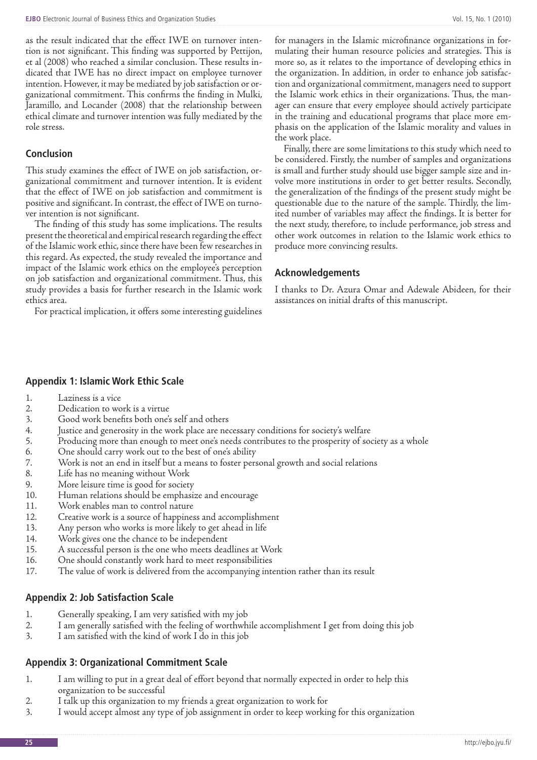as the result indicated that the effect IWE on turnover intention is not significant. This finding was supported by Pettijon, et al (2008) who reached a similar conclusion. These results indicated that IWE has no direct impact on employee turnover intention. However, it may be mediated by job satisfaction or organizational commitment. This confirms the finding in Mulki, Jaramillo, and Locander (2008) that the relationship between ethical climate and turnover intention was fully mediated by the role stress.

## **Conclusion**

This study examines the effect of IWE on job satisfaction, organizational commitment and turnover intention. It is evident that the effect of IWE on job satisfaction and commitment is positive and significant. In contrast, the effect of IWE on turnover intention is not significant.

The finding of this study has some implications. The results present the theoretical and empirical research regarding the effect of the Islamic work ethic, since there have been few researches in this regard. As expected, the study revealed the importance and impact of the Islamic work ethics on the employee's perception on job satisfaction and organizational commitment. Thus, this study provides a basis for further research in the Islamic work ethics area.

For practical implication, it offers some interesting guidelines

for managers in the Islamic microfinance organizations in formulating their human resource policies and strategies. This is more so, as it relates to the importance of developing ethics in the organization. In addition, in order to enhance job satisfaction and organizational commitment, managers need to support the Islamic work ethics in their organizations. Thus, the manager can ensure that every employee should actively participate in the training and educational programs that place more emphasis on the application of the Islamic morality and values in the work place.

Finally, there are some limitations to this study which need to be considered. Firstly, the number of samples and organizations is small and further study should use bigger sample size and involve more institutions in order to get better results. Secondly, the generalization of the findings of the present study might be questionable due to the nature of the sample. Thirdly, the limited number of variables may affect the findings. It is better for the next study, therefore, to include performance, job stress and other work outcomes in relation to the Islamic work ethics to produce more convincing results.

## **Acknowledgements**

I thanks to Dr. Azura Omar and Adewale Abideen, for their assistances on initial drafts of this manuscript.

## **Appendix 1: Islamic Work Ethic Scale**

- 1. Laziness is a vice<br>2. Dedication to we
- 
- 2. Dedication to work is a virtue<br>3. Good work benefits both one's 3. Good work benefits both one's self and others<br>4. Iustice and generosity in the work place are ne
- 4. Justice and generosity in the work place are necessary conditions for society's welfare
- 5. Producing more than enough to meet one's needs contributes to the prosperity of society as a whole<br>6. One should carry work out to the best of one's ability
- 6. One should carry work out to the best of one's ability<br>7. Work is not an end in itself but a means to foster pers
- 7. Work is not an end in itself but a means to foster personal growth and social relations
- Life has no meaning without Work
- 9. More leisure time is good for society
- 10. Human relations should be emphasize and encourage
- 11. Work enables man to control nature
- 12. Creative work is a source of happiness and accomplishment<br>13. Any person who works is more likely to get ahead in life
- 13. Any person who works is more likely to get ahead in life<br>14. Work gives one the chance to be independent
- Work gives one the chance to be independent
- 15. A successful person is the one who meets deadlines at Work
- 16. One should constantly work hard to meet responsibilities
- 17. The value of work is delivered from the accompanying intention rather than its result

## **Appendix 2: Job Satisfaction Scale**

- 1. Generally speaking, I am very satisfied with my job
- 2. I am generally satisfied with the feeling of worthwhile accomplishment I get from doing this job<br>3. I am satisfied with the kind of work I do in this job
- I am satisfied with the kind of work I do in this job

## **Appendix 3: Organizational Commitment Scale**

- 1. I am willing to put in a great deal of effort beyond that normally expected in order to help this organization to be successful
- 2. I talk up this organization to my friends a great organization to work for
- 3. I would accept almost any type of job assignment in order to keep working for this organization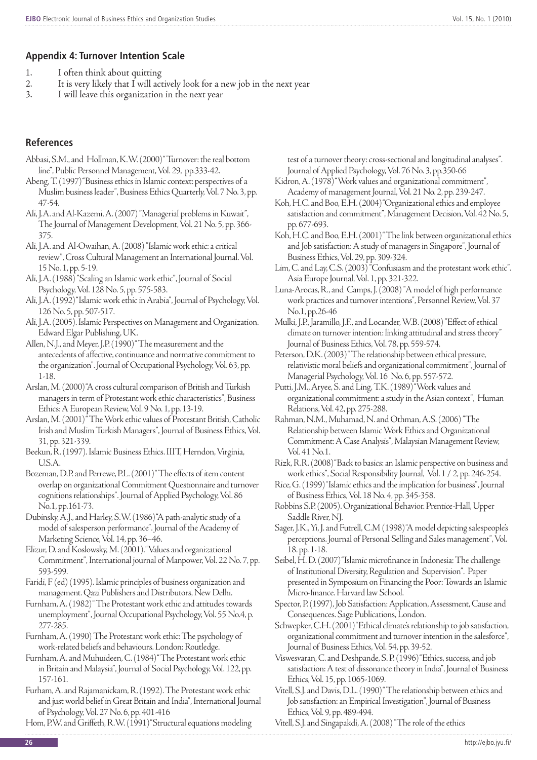## **Appendix 4: Turnover Intention Scale**

- 
- 1. I often think about quitting<br>2. It is very likely that I will act 2. It is very likely that  $\overline{I}$  will actively look for a new job in the next year  $\overline{3}$ .
- I will leave this organization in the next year

## **References**

Abbasi, S.M., and Hollman, K.W. (2000) "Turnover: the real bottom line", Public Personnel Management, Vol. 29, pp.333-42.

- Abeng, T. (1997) "Business ethics in Islamic context: perspectives of a Muslim business leader", Business Ethics Quarterly, Vol. 7 No. 3, pp. 47-54.
- Ali, J.A. and Al-Kazemi, A. (2007) "Managerial problems in Kuwait", The Journal of Management Development, Vol. 21 No. 5, pp. 366- 375.
- Ali, J.A. and Al-Owaihan, A. (2008) "Islamic work ethic: a critical review", Cross Cultural Management an International Journal. Vol. 15 No. 1, pp. 5-19.

Ali, J.A. (1988) "Scaling an Islamic work ethic", Journal of Social Psychology, Vol. 128 No. 5, pp. 575-583.

- Ali, J.A. (1992) "Islamic work ethic in Arabia", Journal of Psychology, Vol. 126 No. 5, pp. 507-517.
- Ali, J.A. (2005). Islamic Perspectives on Management and Organization. Edward Elgar Publishing, UK.
- Allen, N.J., and Meyer, J.P. (1990) "The measurement and the antecedents of affective, continuance and normative commitment to the organization". Journal of Occupational Psychology, Vol. 63, pp. 1-18.

Arslan, M. (2000) "A cross cultural comparison of British and Turkish managers in term of Protestant work ethic characteristics", Business Ethics: A European Review, Vol. 9 No. 1, pp. 13-19.

- Arslan, M. (2001) "The Work ethic values of Protestant British, Catholic Irish and Muslim Turkish Managers", Journal of Business Ethics, Vol. 31, pp. 321-339.
- Beekun, R. (1997). Islamic Business Ethics. IIIT, Herndon, Virginia, U.S.A.
- Bozeman, D.P. and Perrewe, P.L. (2001) "The effects of item content overlap on organizational Commitment Questionnaire and turnover cognitions relationships". Journal of Applied Psychology, Vol. 86 No.1, pp.161-73.

Dubinsky, A.J., and Harley, S.W. (1986) "A path-analytic study of a model of salesperson performance". Journal of the Academy of Marketing Science, Vol. 14, pp. 36–46.

Elizur, D. and Koslowsky, M. (2001). "Values and organizational Commitment", International journal of Manpower, Vol. 22 No. 7, pp. 593-599.

Faridi, F (ed) (1995). Islamic principles of business organization and management. Qazi Publishers and Distributors, New Delhi.

- Furnham, A. (1982) "The Protestant work ethic and attitudes towards unemployment", Journal Occupational Psychology, Vol. 55 No.4, p. 277-285.
- Furnham, A. (1990) The Protestant work ethic: The psychology of work-related beliefs and behaviours. London: Routledge.
- Furnham, A. and Muhuideen, C. (1984) "The Protestant work ethic in Britain and Malaysia", Journal of Social Psychology, Vol. 122, pp. 157-161.

Furham, A. and Rajamanickam, R. (1992). The Protestant work ethic and just world belief in Great Britain and India", International Journal of Psychology, Vol. 27 No. 6, pp. 401-416

Hom, P.W. and Griffeth, R.W. (1991) "Structural equations modeling

test of a turnover theory: cross-sectional and longitudinal analyses". Journal of Applied Psychology, Vol. 76 No. 3, pp.350-66

- Kidron, A. (1978) "Work values and organizational commitment", Academy of management Journal, Vol. 21 No. 2, pp. 239-247.
- Koh, H.C. and Boo, E.H. (2004) "Organizational ethics and employee satisfaction and commitment", Management Decision, Vol. 42 No. 5, pp. 677-693.
- Koh, H.C. and Boo, E.H. (2001) "The link between organizational ethics and Job satisfaction: A study of managers in Singapore", Journal of Business Ethics, Vol. 29, pp. 309-324.

Lim, C. and Lay, C.S. (2003) "Confusiasm and the protestant work ethic". Asia Europe Journal, Vol. 1, pp. 321-322.

Luna-Arocas, R., and Camps, J. (2008) "A model of high performance work practices and turnover intentions", Personnel Review, Vol. 37 No.1, pp.26-46

Mulki, J.P., Jaramillo, J.F., and Locander, W.B. (2008) "Effect of ethical climate on turnover intention: linking attitudinal and stress theory" Journal of Business Ethics, Vol. 78, pp. 559-574.

- Peterson, D.K. (2003) "The relationship between ethical pressure, relativistic moral beliefs and organizational commitment", Journal of Managerial Psychology, Vol. 16 No. 6, pp. 557-572.
- Putti, J.M., Aryee, S. and Ling, T.K. (1989) "Work values and organizational commitment: a study in the Asian context", Human Relations, Vol. 42, pp. 275-288.

Rahman, N.M., Muhamad, N. and Othman, A.S. (2006) "The Relationship between Islamic Work Ethics and Organizational Commitment: A Case Analysis", Malaysian Management Review, Vol. 41 No.1.

Rizk, R.R. (2008) "Back to basics: an Islamic perspective on business and work ethics", Social Responsibility Journal, Vol. 1 / 2, pp. 246-254.

Rice, G. (1999) "Islamic ethics and the implication for business", Journal of Business Ethics, Vol. 18 No. 4, pp. 345-358.

Robbins S.P. (2005). Organizational Behavior. Prentice-Hall, Upper Saddle River, NJ.

Sager, J.K., Yi, J. and Futrell, C.M (1998) "A model depicting salespeople's perceptions. Journal of Personal Selling and Sales management", Vol. 18. pp. 1-18.

Seibel, H. D. (2007) "Islamic microfinance in Indonesia: The challenge of Institutional Diversity, Regulation and Supervision". Paper presented in Symposium on Financing the Poor: Towards an Islamic Micro-finance. Harvard law School.

- Spector, P. (1997), Job Satisfaction: Application, Assessment, Cause and Consequences. Sage Publications, London.
- Schwepker, C.H. (2001) "Ethical climate's relationship to job satisfaction, organizational commitment and turnover intention in the salesforce", Journal of Business Ethics, Vol. 54, pp. 39-52.
- Viswesvaran, C. and Deshpande, S. P. (1996) "Ethics, success, and job satisfaction: A test of dissonance theory in India", Journal of Business Ethics, Vol. 15, pp. 1065-1069.

Vitell, S.J. and Davis, D.L. (1990) "The relationship between ethics and Job satisfaction: an Empirical Investigation", Journal of Business Ethics, Vol. 9, pp. 489-494.

Vitell, S.J. and Singapakdi, A. (2008) "The role of the ethics